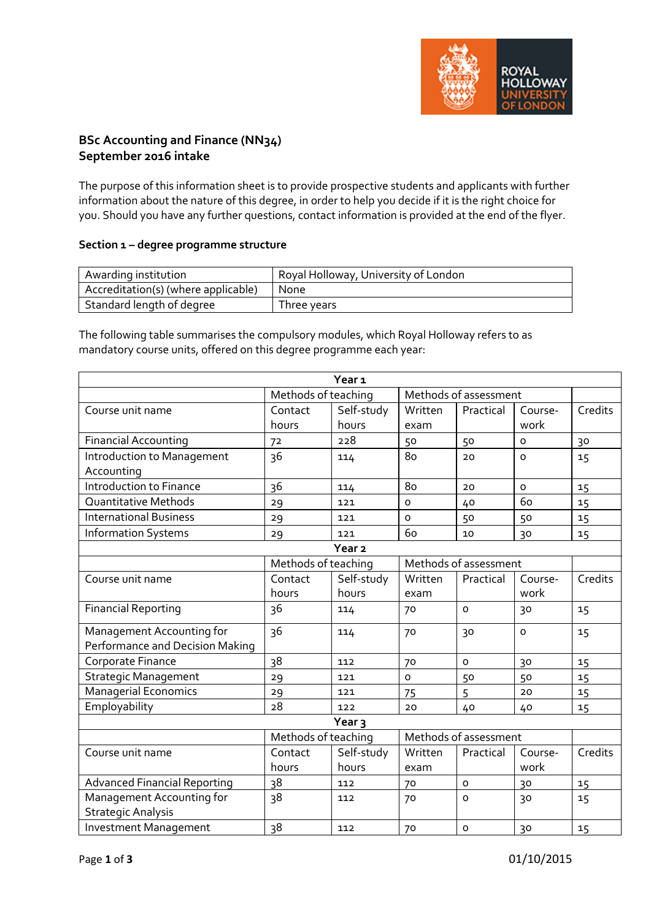

# **BSc Accounting and Finance (NN34) September 2016 intake**

The purpose of this information sheet is to provide prospective students and applicants with further information about the nature of this degree, in order to help you decide if it is the right choice for you. Should you have any further questions, contact information is provided at the end of the flyer.

## **Section 1 – degree programme structure**

| Awarding institution                | Royal Holloway, University of London |
|-------------------------------------|--------------------------------------|
| Accreditation(s) (where applicable) | None                                 |
| Standard length of degree           | Three years                          |

The following table summarises the compulsory modules, which Royal Holloway refers to as mandatory course units, offered on this degree programme each year:

|                                     |                                              | Year <sub>1</sub>   |                 |                       |                     |         |
|-------------------------------------|----------------------------------------------|---------------------|-----------------|-----------------------|---------------------|---------|
|                                     | Methods of teaching                          |                     |                 | Methods of assessment |                     |         |
| Course unit name                    | Contact<br>hours                             | Self-study<br>hours | Written<br>exam | Practical             | Course-<br>work     | Credits |
| <b>Financial Accounting</b>         | 72                                           | 228                 | 50              | 50                    | O                   | 30      |
| Introduction to Management          | 36                                           |                     | 80              | 20                    | $\Omega$            |         |
| Accounting                          |                                              | 114                 |                 |                       |                     | 15      |
| Introduction to Finance             | 36                                           | 114                 | 80              | 20                    | $\mathsf{o}\xspace$ | 15      |
| Quantitative Methods                | 29                                           | 121                 | $\Omega$        | 40                    | 60                  | 15      |
| <b>International Business</b>       | 29                                           | 121                 | $\circ$         | 50                    | 50                  | 15      |
| <b>Information Systems</b>          | 29                                           | 121                 | 60              | 10                    | 30                  | 15      |
|                                     | Year <sub>2</sub>                            |                     |                 |                       |                     |         |
|                                     | Methods of teaching                          |                     |                 | Methods of assessment |                     |         |
| Course unit name                    | Contact                                      | Self-study          | Written         | Practical             | Course-             | Credits |
|                                     | hours                                        | hours               | exam            |                       | work                |         |
| <b>Financial Reporting</b>          | 36                                           | 114                 | 70              | $\circ$               | 30                  | 15      |
| Management Accounting for           | 36                                           | 114                 | 70              | 30                    | $\circ$             | 15      |
| Performance and Decision Making     |                                              |                     |                 |                       |                     |         |
| Corporate Finance                   | 38                                           | 112                 | 70              | $\Omega$              | 30                  | 15      |
| <b>Strategic Management</b>         | 29                                           | 121                 | $\circ$         | 50                    | 50                  | 15      |
| <b>Managerial Economics</b>         | 29                                           | 121                 | 75              | 5                     | 20                  | 15      |
| Employability                       | 28                                           | 122                 | 20              | 40                    | 40                  | 15      |
| Year <sub>3</sub>                   |                                              |                     |                 |                       |                     |         |
|                                     | Methods of teaching<br>Methods of assessment |                     |                 |                       |                     |         |
| Course unit name                    | Contact                                      | Self-study          | Written         | Practical             | Course-             | Credits |
|                                     | hours                                        | hours               | exam            |                       | work                |         |
| <b>Advanced Financial Reporting</b> | 38                                           | 112                 | 70              | $\circ$               | 30                  | 15      |
| Management Accounting for           | 38                                           | 112                 | 70              | $\circ$               | 30                  | 15      |
| <b>Strategic Analysis</b>           |                                              |                     |                 |                       |                     |         |
| <b>Investment Management</b>        | 38                                           | 112                 | 70              | $\circ$               | 30                  | 15      |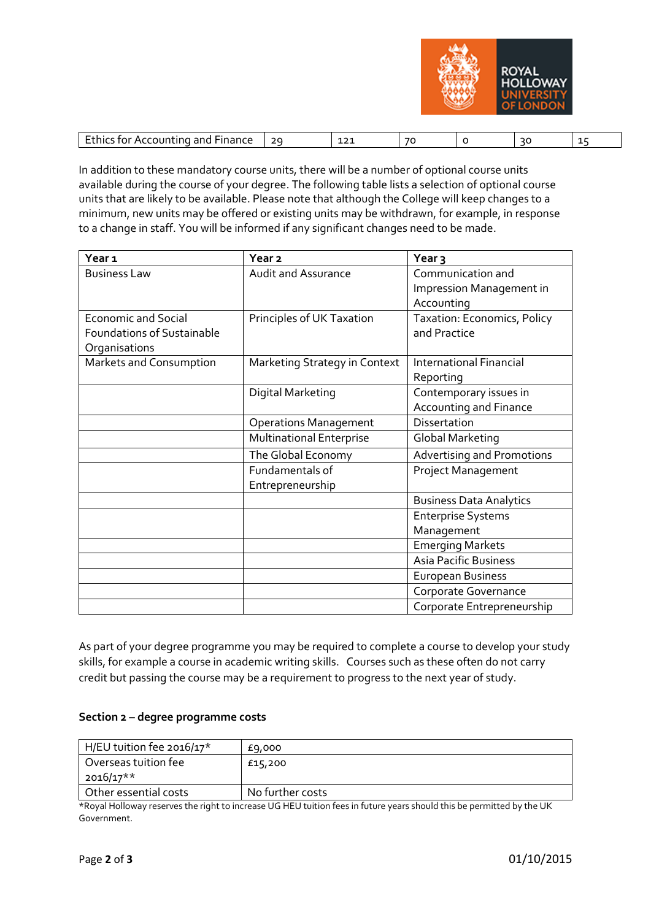

|  | $\cdots$<br>.<br>---<br>.<br>$\sim$ $\sim$<br>nıo<br>ror<br>A(<br>энг<br>inance<br>ann<br>,,,,, | $\sim$<br>- | $\sim$<br>-<br>--- | 7 <sup>c</sup><br>v |  | $\mathcal{L}$ |  |
|--|-------------------------------------------------------------------------------------------------|-------------|--------------------|---------------------|--|---------------|--|
|--|-------------------------------------------------------------------------------------------------|-------------|--------------------|---------------------|--|---------------|--|

In addition to these mandatory course units, there will be a number of optional course units available during the course of your degree. The following table lists a selection of optional course units that are likely to be available. Please note that although the College will keep changes to a minimum, new units may be offered or existing units may be withdrawn, for example, in response to a change in staff. You will be informed if any significant changes need to be made.

| Year <sub>1</sub>                 | Year <sub>2</sub>               | Year <sub>3</sub>                 |
|-----------------------------------|---------------------------------|-----------------------------------|
| <b>Business Law</b>               | <b>Audit and Assurance</b>      | Communication and                 |
|                                   |                                 | Impression Management in          |
|                                   |                                 | Accounting                        |
| <b>Economic and Social</b>        | Principles of UK Taxation       | Taxation: Economics, Policy       |
| <b>Foundations of Sustainable</b> |                                 | and Practice                      |
| Organisations                     |                                 |                                   |
| Markets and Consumption           | Marketing Strategy in Context   | <b>International Financial</b>    |
|                                   |                                 | Reporting                         |
|                                   | Digital Marketing               | Contemporary issues in            |
|                                   |                                 | <b>Accounting and Finance</b>     |
|                                   | <b>Operations Management</b>    | Dissertation                      |
|                                   | <b>Multinational Enterprise</b> | <b>Global Marketing</b>           |
|                                   | The Global Economy              | <b>Advertising and Promotions</b> |
|                                   | Fundamentals of                 | Project Management                |
|                                   | Entrepreneurship                |                                   |
|                                   |                                 | <b>Business Data Analytics</b>    |
|                                   |                                 | <b>Enterprise Systems</b>         |
|                                   |                                 | Management                        |
|                                   |                                 | <b>Emerging Markets</b>           |
|                                   |                                 | <b>Asia Pacific Business</b>      |
|                                   |                                 | <b>European Business</b>          |
|                                   |                                 | Corporate Governance              |
|                                   |                                 | Corporate Entrepreneurship        |

As part of your degree programme you may be required to complete a course to develop your study skills, for example a course in academic writing skills. Courses such as these often do not carry credit but passing the course may be a requirement to progress to the next year of study.

#### **Section 2 – degree programme costs**

| H/EU tuition fee 2016/17* | £9,000           |
|---------------------------|------------------|
| Overseas tuition fee      | £15,200          |
| 2016/17**                 |                  |
| Other essential costs     | No further costs |

\*Royal Holloway reserves the right to increase UG HEU tuition fees in future years should this be permitted by the UK Government.